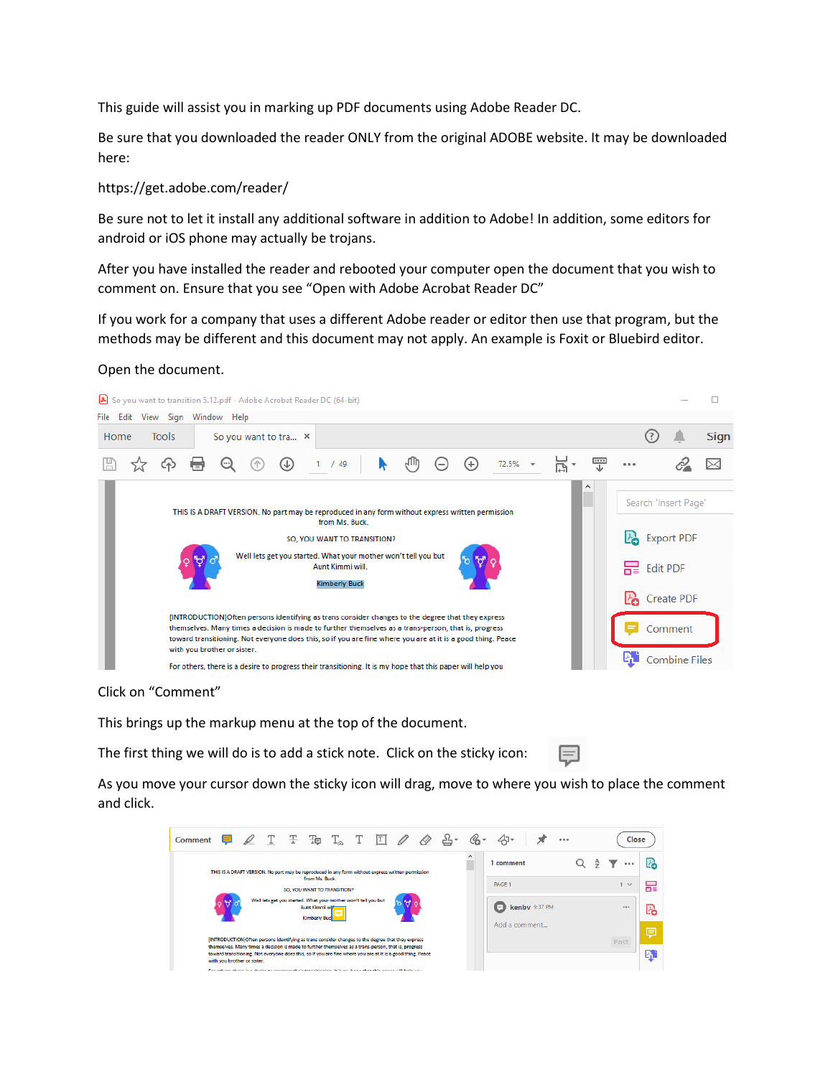This guide will assist you in marking up PDF documents using Adobe Reader DC.

Be sure that you downloaded the reader ONLY from the original ADOBE website. It may be downloaded here:

## https://get.adobe.com/reader/

Be sure not to let it install any additional software in addition to Adobe! In addition, some editors for android or iOS phone may actually be trojans.

After you have installed the reader and rebooted your computer open the document that you wish to comment on. Ensure that you see "Open with Adobe Acrobat Reader DC"

If you work for a company that uses a different Adobe reader or editor then use that program, but the methods may be different and this document may not apply. An example is Foxit or Bluebird editor.

## Open the document.



Click on "Comment"

This brings up the markup menu at the top of the document.

The first thing we will do is to add a stick note. Click on the sticky icon:

巨

As you move your cursor down the sticky icon will drag, move to where you wish to place the comment and click.